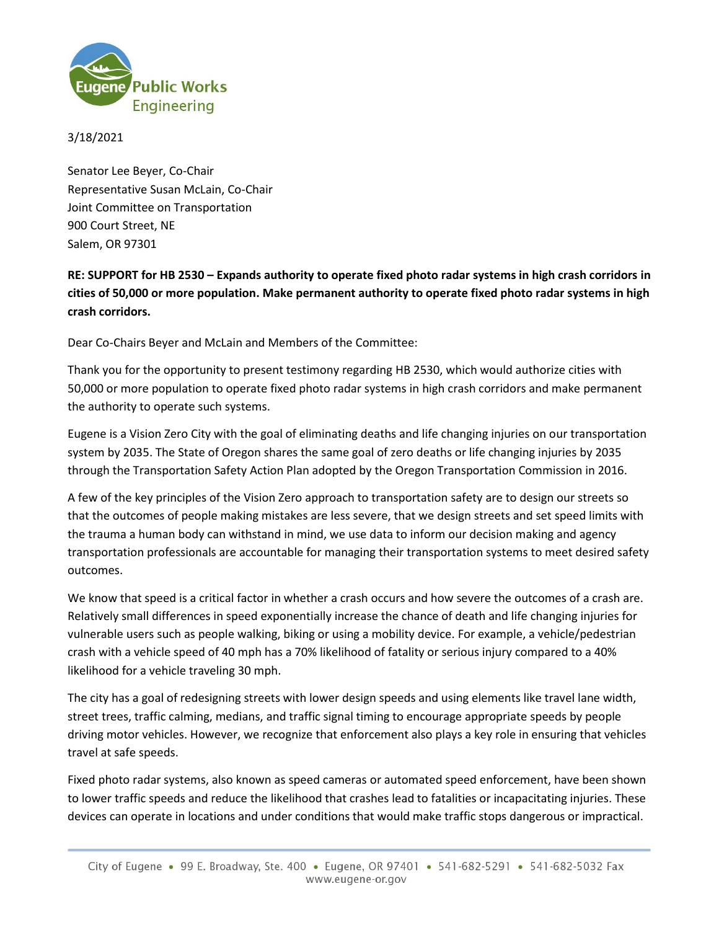

3/18/2021

Senator Lee Beyer, Co-Chair Representative Susan McLain, Co-Chair Joint Committee on Transportation 900 Court Street, NE Salem, OR 97301

**RE: SUPPORT for HB 2530 – Expands authority to operate fixed photo radar systems in high crash corridors in cities of 50,000 or more population. Make permanent authority to operate fixed photo radar systems in high crash corridors.**

Dear Co-Chairs Beyer and McLain and Members of the Committee:

Thank you for the opportunity to present testimony regarding HB 2530, which would authorize cities with 50,000 or more population to operate fixed photo radar systems in high crash corridors and make permanent the authority to operate such systems.

Eugene is a Vision Zero City with the goal of eliminating deaths and life changing injuries on our transportation system by 2035. The State of Oregon shares the same goal of zero deaths or life changing injuries by 2035 through the Transportation Safety Action Plan adopted by the Oregon Transportation Commission in 2016.

A few of the key principles of the Vision Zero approach to transportation safety are to design our streets so that the outcomes of people making mistakes are less severe, that we design streets and set speed limits with the trauma a human body can withstand in mind, we use data to inform our decision making and agency transportation professionals are accountable for managing their transportation systems to meet desired safety outcomes.

We know that speed is a critical factor in whether a crash occurs and how severe the outcomes of a crash are. Relatively small differences in speed exponentially increase the chance of death and life changing injuries for vulnerable users such as people walking, biking or using a mobility device. For example, a vehicle/pedestrian crash with a vehicle speed of 40 mph has a 70% likelihood of fatality or serious injury compared to a 40% likelihood for a vehicle traveling 30 mph.

The city has a goal of redesigning streets with lower design speeds and using elements like travel lane width, street trees, traffic calming, medians, and traffic signal timing to encourage appropriate speeds by people driving motor vehicles. However, we recognize that enforcement also plays a key role in ensuring that vehicles travel at safe speeds.

Fixed photo radar systems, also known as speed cameras or automated speed enforcement, have been shown to lower traffic speeds and reduce the likelihood that crashes lead to fatalities or incapacitating injuries. These devices can operate in locations and under conditions that would make traffic stops dangerous or impractical.